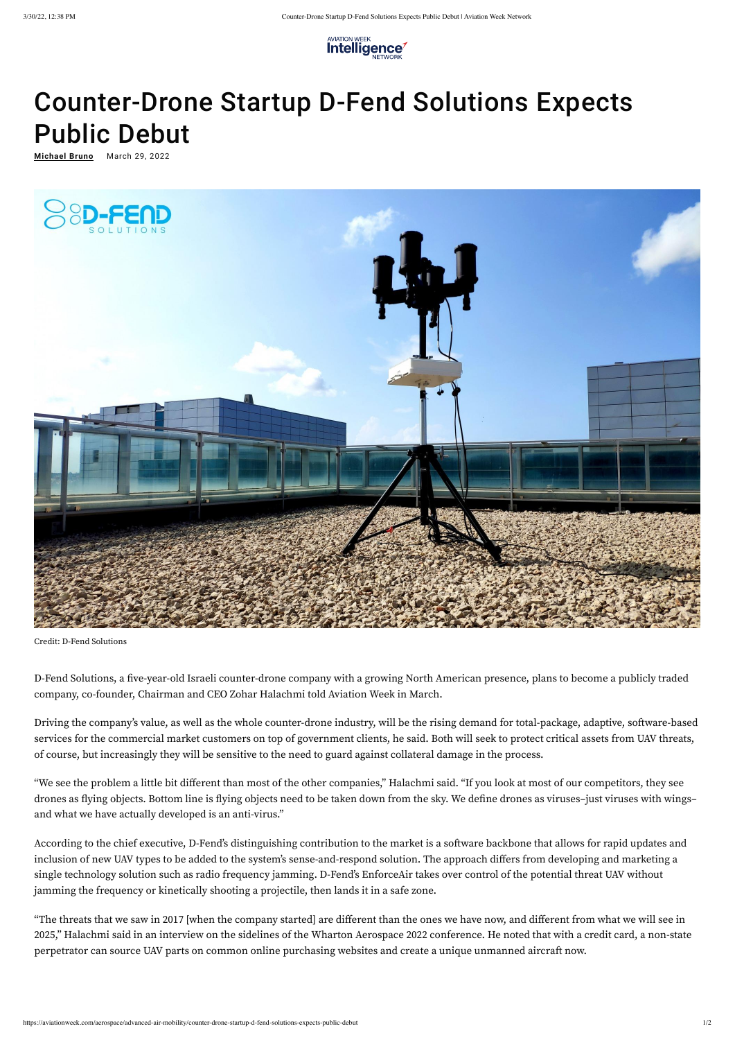

## Counter-Drone Startup D-Fend Solutions Expects Public Debut

<u>[Michael](https://aviationweek.com/author/michael-bruno) Bruno</u> March 29, 2022



Credit: D-Fend Solutions

D-Fend Solutions, a five-year-old Israeli counter-drone company with a growing North American presence, plans to become a publicly traded company, co-founder, Chairman and CEO Zohar Halachmi told Aviation Week in March.

Driving the company's value, as well as the whole counter-drone industry, will be the rising demand for total-package, adaptive, software-based services for the commercial market customers on top of government clients, he said. Both will seek to protect critical assets from UAV threats, of course, but increasingly they will be sensitive to the need to guard against collateral damage in the process.

"We see the problem a little bit different than most of the other companies," Halachmi said. "If you look at most of our competitors, they see

drones as flying objects. Bottom line is flying objects need to be taken down from the sky. We define drones as viruses–just viruses with wings– and what we have actually developed is an anti-virus."

According to the chief executive, D-Fend's distinguishing contribution to the market is a software backbone that allows for rapid updates and inclusion of new UAV types to be added to the system's sense-and-respond solution. The approach differs from developing and marketing a single technology solution such as radio frequency jamming. D-Fend's EnforceAir takes over control of the potential threat UAV without jamming the frequency or kinetically shooting a projectile, then lands it in a safe zone.

"The threats that we saw in 2017 [when the company started] are different than the ones we have now, and different from what we will see in 2025," Halachmi said in an interview on the sidelines of the Wharton Aerospace 2022 conference. He noted that with a credit card, a non-state perpetrator can source UAV parts on common online purchasing websites and create a unique unmanned aircraft now.